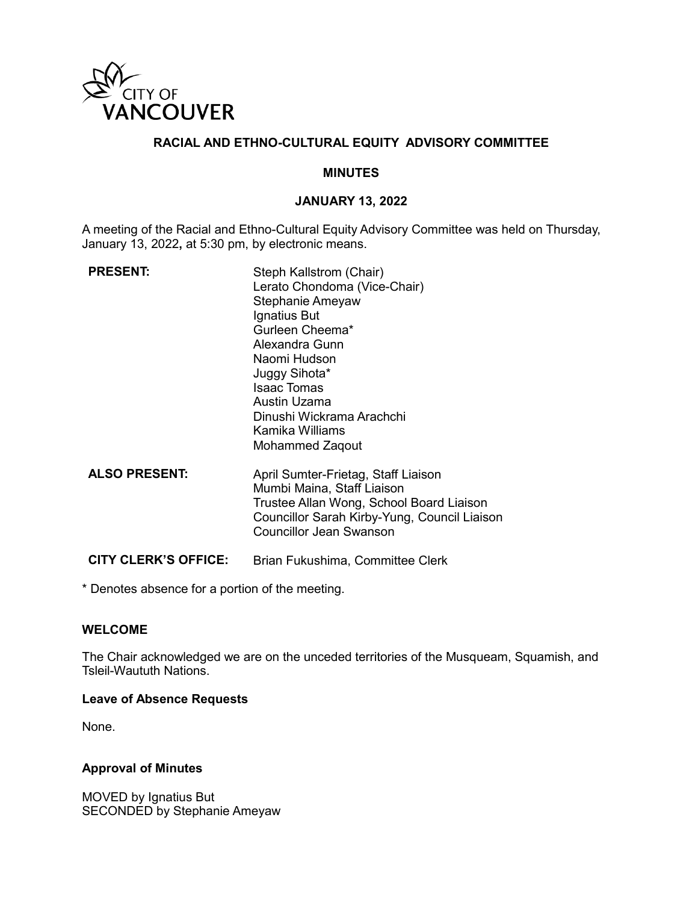

### **RACIAL AND ETHNO-CULTURAL EQUITY ADVISORY COMMITTEE**

#### **MINUTES**

#### **JANUARY 13, 2022**

A meeting of the Racial and Ethno-Cultural Equity Advisory Committee was held on Thursday, January 13, 2022**,** at 5:30 pm, by electronic means.

| <b>PRESENT:</b>             | Steph Kallstrom (Chair)<br>Lerato Chondoma (Vice-Chair)<br>Stephanie Ameyaw<br>Ignatius But<br>Gurleen Cheema*<br>Alexandra Gunn<br>Naomi Hudson<br>Juggy Sihota*<br><b>Isaac Tomas</b><br>Austin Uzama<br>Dinushi Wickrama Arachchi<br>Kamika Williams<br>Mohammed Zaqout |
|-----------------------------|----------------------------------------------------------------------------------------------------------------------------------------------------------------------------------------------------------------------------------------------------------------------------|
| <b>ALSO PRESENT:</b>        | April Sumter-Frietag, Staff Liaison<br>Mumbi Maina, Staff Liaison<br>Trustee Allan Wong, School Board Liaison<br>Councillor Sarah Kirby-Yung, Council Liaison<br><b>Councillor Jean Swanson</b>                                                                            |
| <b>CITY CLERK'S OFFICE:</b> | Brian Fukushima, Committee Clerk                                                                                                                                                                                                                                           |

\* Denotes absence for a portion of the meeting.

#### **WELCOME**

The Chair acknowledged we are on the unceded territories of the Musqueam, Squamish, and Tsleil-Waututh Nations.

#### **Leave of Absence Requests**

None.

#### **Approval of Minutes**

MOVED by Ignatius But SECONDED by Stephanie Ameyaw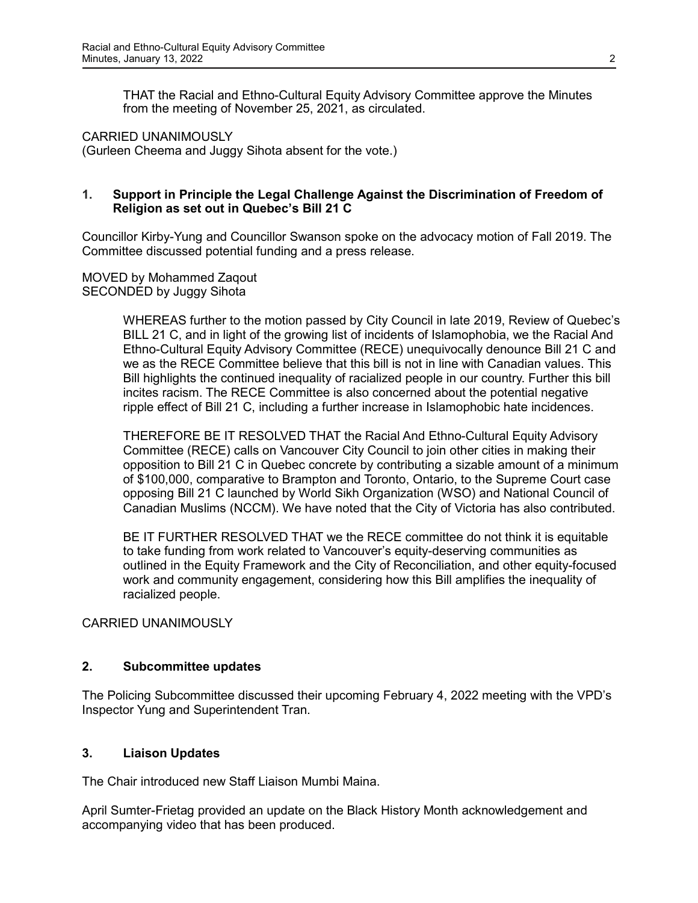THAT the Racial and Ethno-Cultural Equity Advisory Committee approve the Minutes from the meeting of November 25, 2021, as circulated.

CARRIED UNANIMOUSLY (Gurleen Cheema and Juggy Sihota absent for the vote.)

### **1. Support in Principle the Legal Challenge Against the Discrimination of Freedom of Religion as set out in Quebec's Bill 21 C**

Councillor Kirby-Yung and Councillor Swanson spoke on the advocacy motion of Fall 2019. The Committee discussed potential funding and a press release.

MOVED by Mohammed Zaqout SECONDED by Juggy Sihota

> WHEREAS further to the motion passed by City Council in late 2019, Review of Quebec's BILL 21 C, and in light of the growing list of incidents of Islamophobia, we the Racial And Ethno-Cultural Equity Advisory Committee (RECE) unequivocally denounce Bill 21 C and we as the RECE Committee believe that this bill is not in line with Canadian values. This Bill highlights the continued inequality of racialized people in our country. Further this bill incites racism. The RECE Committee is also concerned about the potential negative ripple effect of Bill 21 C, including a further increase in Islamophobic hate incidences.

> THEREFORE BE IT RESOLVED THAT the Racial And Ethno-Cultural Equity Advisory Committee (RECE) calls on Vancouver City Council to join other cities in making their opposition to Bill 21 C in Quebec concrete by contributing a sizable amount of a minimum of \$100,000, comparative to Brampton and Toronto, Ontario, to the Supreme Court case opposing Bill 21 C launched by World Sikh Organization (WSO) and National Council of Canadian Muslims (NCCM). We have noted that the City of Victoria has also contributed.

> BE IT FURTHER RESOLVED THAT we the RECE committee do not think it is equitable to take funding from work related to Vancouver's equity-deserving communities as outlined in the Equity Framework and the City of Reconciliation, and other equity-focused work and community engagement, considering how this Bill amplifies the inequality of racialized people.

CARRIED UNANIMOUSLY

## **2. Subcommittee updates**

The Policing Subcommittee discussed their upcoming February 4, 2022 meeting with the VPD's Inspector Yung and Superintendent Tran.

# **3. Liaison Updates**

The Chair introduced new Staff Liaison Mumbi Maina.

April Sumter-Frietag provided an update on the Black History Month acknowledgement and accompanying video that has been produced.